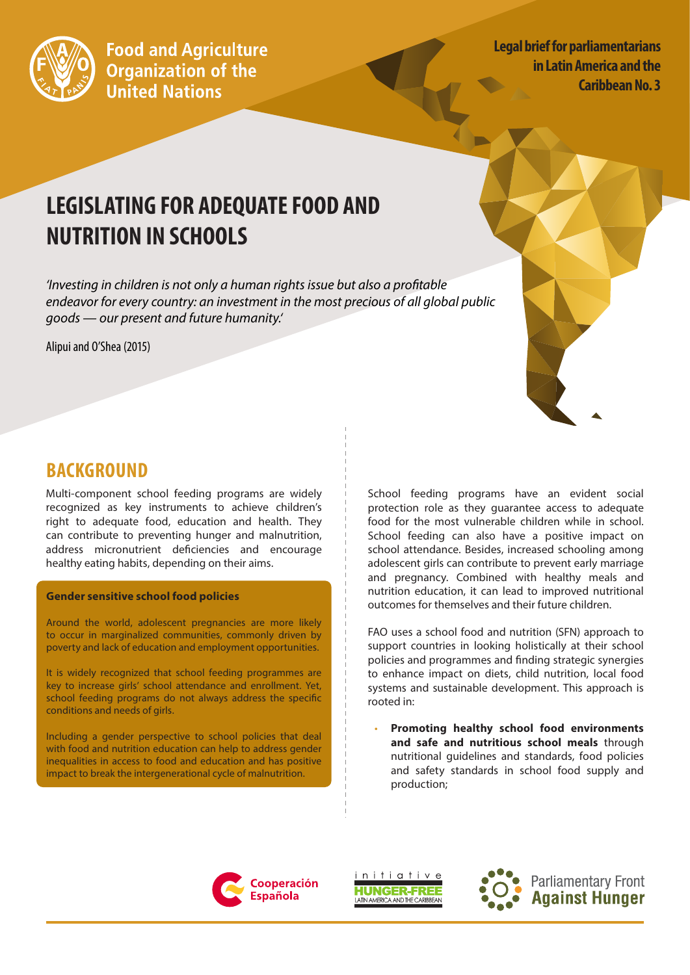

**Legal brief for parliamentarians in Latin America and the Caribbean No. 3**

# **LEGISLATING FOR ADEQUATE FOOD AND NUTRITION IN SCHOOLS**

*'Investing in children is not only a human rights issue but also a profitable endeavor for every country: an investment in the most precious of all global public goods — our present and future humanity.'*

Alipui and O'Shea (2015)



Multi-component school feeding programs are widely recognized as key instruments to achieve children's right to adequate food, education and health. They can contribute to preventing hunger and malnutrition, address micronutrient deficiencies and encourage healthy eating habits, depending on their aims.

#### **Gender sensitive school food policies**

Around the world, adolescent pregnancies are more likely to occur in marginalized communities, commonly driven by poverty and lack of education and employment opportunities.

It is widely recognized that school feeding programmes are key to increase girls' school attendance and enrollment. Yet, school feeding programs do not always address the specific conditions and needs of girls.

Including a gender perspective to school policies that deal with food and nutrition education can help to address gender inequalities in access to food and education and has positive impact to break the intergenerational cycle of malnutrition.

School feeding programs have an evident social protection role as they guarantee access to adequate food for the most vulnerable children while in school. School feeding can also have a positive impact on school attendance. Besides, increased schooling among adolescent girls can contribute to prevent early marriage and pregnancy. Combined with healthy meals and nutrition education, it can lead to improved nutritional outcomes for themselves and their future children.

FAO uses a school food and nutrition (SFN) approach to support countries in looking holistically at their school policies and programmes and finding strategic synergies to enhance impact on diets, child nutrition, local food systems and sustainable development. This approach is rooted in:

• **Promoting healthy school food environments and safe and nutritious school meals** through nutritional guidelines and standards, food policies and safety standards in school food supply and production;







**Parliamentary Front Against Hunger**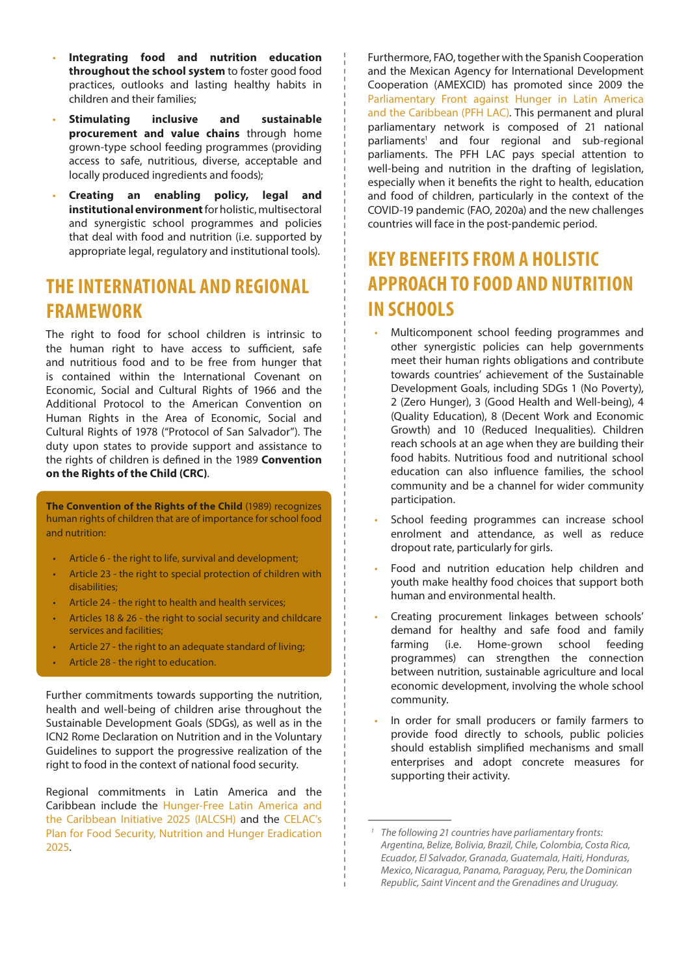- **Integrating food and nutrition education throughout the school system** to foster good food practices, outlooks and lasting healthy habits in children and their families;
- **Stimulating inclusive and sustainable procurement and value chains** through home grown-type school feeding programmes (providing access to safe, nutritious, diverse, acceptable and locally produced ingredients and foods);
- **Creating an enabling policy, legal and institutional environment** for holistic, multisectoral and synergistic school programmes and policies that deal with food and nutrition (i.e. supported by appropriate legal, regulatory and institutional tools).

#### **THE INTERNATIONAL AND REGIONAL FRAMEWORK**

The right to food for school children is intrinsic to the human right to have access to sufficient, safe and nutritious food and to be free from hunger that is contained within the International Covenant on Economic, Social and Cultural Rights of 1966 and the Additional Protocol to the American Convention on Human Rights in the Area of Economic, Social and Cultural Rights of 1978 ("Protocol of San Salvador"). The duty upon states to provide support and assistance to the rights of children is defined in the 1989 **Convention on the Rights of the Child (CRC)**.

**The Convention of the Rights of the Child** (1989) recognizes human rights of children that are of importance for school food and nutrition:

- Article 6 the right to life, survival and development;
- Article 23 the right to special protection of children with disabilities;
- Article 24 the right to health and health services;
- Articles 18 & 26 the right to social security and childcare services and facilities;
- Article 27 the right to an adequate standard of living;
- Article 28 the right to education.

Further commitments towards supporting the nutrition, health and well-being of children arise throughout the Sustainable Development Goals (SDGs), as well as in the ICN2 Rome Declaration on Nutrition and in the Voluntary Guidelines to support the progressive realization of the right to food in the context of national food security.

Regional commitments in Latin America and the Caribbean include the [Hunger-Free Latin America and](http://www.ialcsh.org/)  [the Caribbean Initiative 2025 \(IALCSH\)](http://www.ialcsh.org/) and the [CELAC's](http://www.fao.org/3/a-bo925s.pdf)  [Plan for Food Security, Nutrition and Hunger Eradication](http://www.fao.org/3/a-bo925s.pdf)  [2025.](http://www.fao.org/3/a-bo925s.pdf)

Furthermore, FAO, together with the Spanish Cooperation and the Mexican Agency for International Development Cooperation (AMEXCID) has promoted since 2009 the [Parliamentary Front against Hunger in Latin America](http://parlamentarioscontraelhambre.org/)  [and the Caribbean \(PFH LAC\)](http://parlamentarioscontraelhambre.org/). This permanent and plural parliamentary network is composed of 21 national parliaments<sup>1</sup> and four regional and sub-regional parliaments. The PFH LAC pays special attention to well-being and nutrition in the drafting of legislation, especially when it benefits the right to health, education and food of children, particularly in the context of the COVID-19 pandemic (FAO, 2020a) and the new challenges countries will face in the post-pandemic period.

### **KEY BENEFITS FROM A HOLISTIC APPROACH TO FOOD AND NUTRITION IN SCHOOLS**

- Multicomponent school feeding programmes and other synergistic policies can help governments meet their human rights obligations and contribute towards countries' achievement of the Sustainable Development Goals, including SDGs 1 (No Poverty), 2 (Zero Hunger), 3 (Good Health and Well-being), 4 (Quality Education), 8 (Decent Work and Economic Growth) and 10 (Reduced Inequalities). Children reach schools at an age when they are building their food habits. Nutritious food and nutritional school education can also influence families, the school community and be a channel for wider community participation.
- School feeding programmes can increase school enrolment and attendance, as well as reduce dropout rate, particularly for girls.
- Food and nutrition education help children and youth make healthy food choices that support both human and environmental health.
- Creating procurement linkages between schools' demand for healthy and safe food and family farming (i.e. Home-grown school feeding programmes) can strengthen the connection between nutrition, sustainable agriculture and local economic development, involving the whole school community.
- In order for small producers or family farmers to provide food directly to schools, public policies should establish simplified mechanisms and small enterprises and adopt concrete measures for supporting their activity.

*<sup>1</sup> The following 21 countries have parliamentary fronts: Argentina, Belize, Bolivia, Brazil, Chile, Colombia, Costa Rica, Ecuador, El Salvador, Granada, Guatemala, Haiti, Honduras, Mexico, Nicaragua, Panama, Paraguay, Peru, the Dominican Republic, Saint Vincent and the Grenadines and Uruguay.*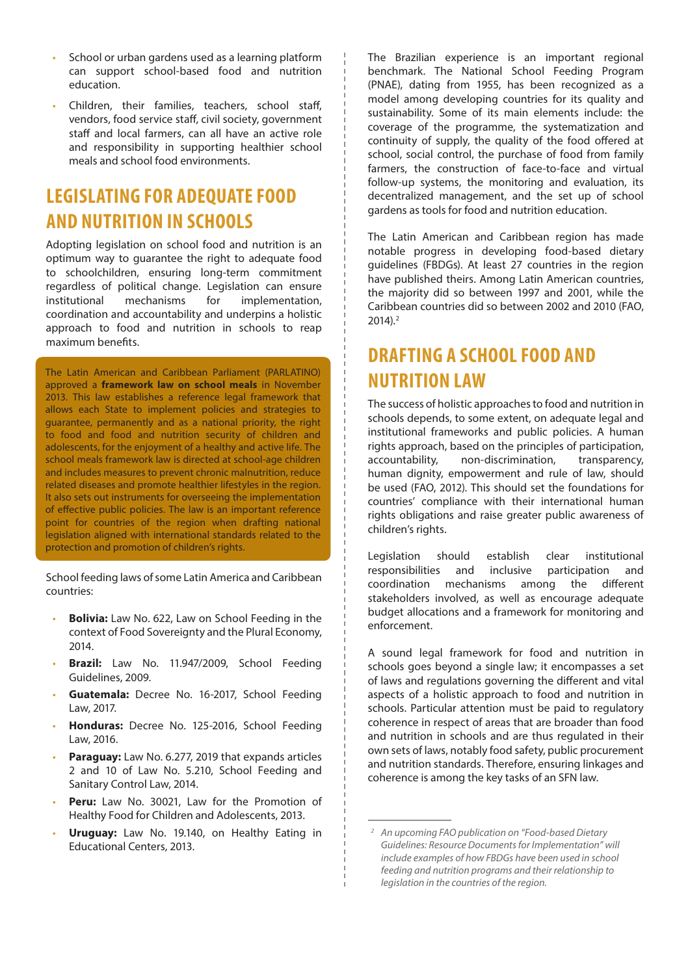- School or urban gardens used as a learning platform can support school-based food and nutrition education.
- Children, their families, teachers, school staff, vendors, food service staff, civil society, government staff and local farmers, can all have an active role and responsibility in supporting healthier school meals and school food environments.

### **LEGISLATING FOR ADEQUATE FOOD AND NUTRITION IN SCHOOLS**

Adopting legislation on school food and nutrition is an optimum way to guarantee the right to adequate food to schoolchildren, ensuring long-term commitment regardless of political change. Legislation can ensure institutional mechanisms for implementation, coordination and accountability and underpins a holistic approach to food and nutrition in schools to reap maximum benefits.

The Latin American and Caribbean Parliament (PARLATINO) approved a **framework law on school meals** in November 2013. This law establishes a reference legal framework that allows each State to implement policies and strategies to guarantee, permanently and as a national priority, the right to food and food and nutrition security of children and adolescents, for the enjoyment of a healthy and active life. The school meals framework law is directed at school-age children and includes measures to prevent chronic malnutrition, reduce related diseases and promote healthier lifestyles in the region. It also sets out instruments for overseeing the implementation of effective public policies. The law is an important reference point for countries of the region when drafting national legislation aligned with international standards related to the protection and promotion of children's rights.

School feeding laws of some Latin America and Caribbean countries:

- **Bolivia:** Law No. 622, Law on School Feeding in the context of Food Sovereignty and the Plural Economy, 2014.
- **Brazil:** Law No. 11.947/2009, School Feeding Guidelines, 2009.
- **Guatemala:** Decree No. 16-2017, School Feeding Law, 2017.
- **Honduras:** Decree No. 125-2016, School Feeding Law, 2016.
- Paraguay: Law No. 6.277, 2019 that expands articles 2 and 10 of Law No. 5.210, School Feeding and Sanitary Control Law, 2014.
- Peru: Law No. 30021, Law for the Promotion of Healthy Food for Children and Adolescents, 2013.
- **Uruguay:** Law No. 19.140, on Healthy Eating in Educational Centers, 2013.

The Brazilian experience is an important regional benchmark. The National School Feeding Program (PNAE), dating from 1955, has been recognized as a model among developing countries for its quality and sustainability. Some of its main elements include: the coverage of the programme, the systematization and continuity of supply, the quality of the food offered at school, social control, the purchase of food from family farmers, the construction of face-to-face and virtual follow-up systems, the monitoring and evaluation, its decentralized management, and the set up of school gardens as tools for food and nutrition education.

The Latin American and Caribbean region has made notable progress in developing food-based dietary guidelines (FBDGs). At least 27 countries in the region have published theirs. Among Latin American countries, the majority did so between 1997 and 2001, while the Caribbean countries did so between 2002 and 2010 (FAO, 2014).2

#### **DRAFTING A SCHOOL FOOD AND NUTRITION LAW**

The success of holistic approaches to food and nutrition in schools depends, to some extent, on adequate legal and institutional frameworks and public policies. A human rights approach, based on the principles of participation, accountability, non-discrimination, transparency, human dignity, empowerment and rule of law, should be used (FAO, 2012). This should set the foundations for countries' compliance with their international human rights obligations and raise greater public awareness of children's rights.

Legislation should establish clear institutional responsibilities and inclusive participation and coordination mechanisms among the different stakeholders involved, as well as encourage adequate budget allocations and a framework for monitoring and enforcement.

A sound legal framework for food and nutrition in schools goes beyond a single law; it encompasses a set of laws and regulations governing the different and vital aspects of a holistic approach to food and nutrition in schools. Particular attention must be paid to regulatory coherence in respect of areas that are broader than food and nutrition in schools and are thus regulated in their own sets of laws, notably food safety, public procurement and nutrition standards. Therefore, ensuring linkages and coherence is among the key tasks of an SFN law.

*<sup>2</sup> An upcoming FAO publication on "Food-based Dietary Guidelines: Resource Documents for Implementation" will include examples of how FBDGs have been used in school feeding and nutrition programs and their relationship to legislation in the countries of the region.*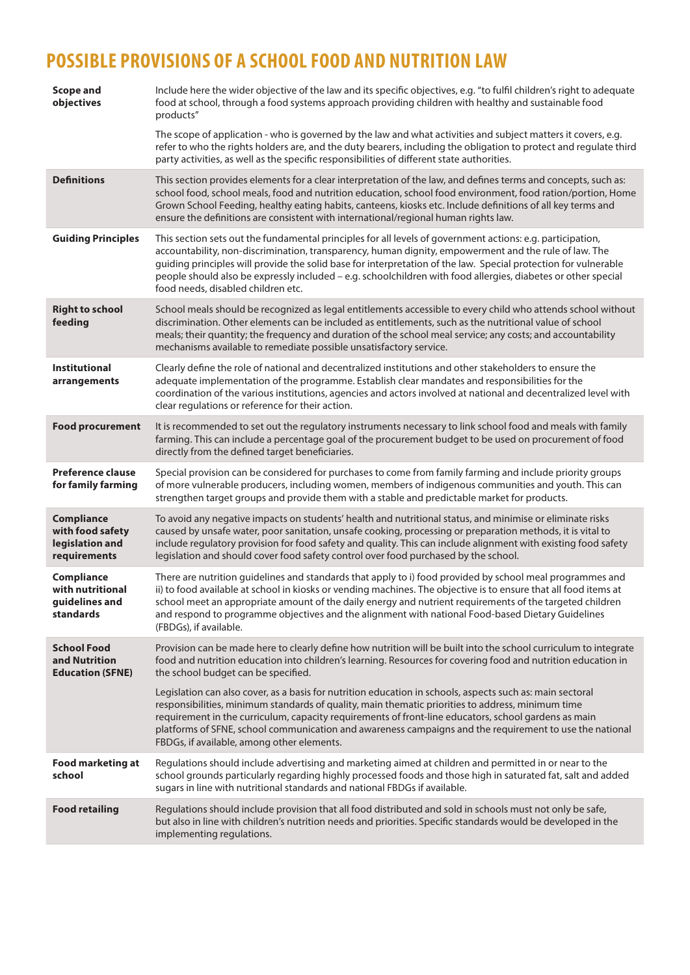# **POSSIBLE PROVISIONS OF A SCHOOL FOOD AND NUTRITION LAW**

| <b>Scope and</b><br>objectives                                           | Include here the wider objective of the law and its specific objectives, e.g. "to fulfil children's right to adequate<br>food at school, through a food systems approach providing children with healthy and sustainable food<br>products"                                                                                                                                                                                                                                                    |
|--------------------------------------------------------------------------|-----------------------------------------------------------------------------------------------------------------------------------------------------------------------------------------------------------------------------------------------------------------------------------------------------------------------------------------------------------------------------------------------------------------------------------------------------------------------------------------------|
|                                                                          | The scope of application - who is governed by the law and what activities and subject matters it covers, e.g.<br>refer to who the rights holders are, and the duty bearers, including the obligation to protect and regulate third<br>party activities, as well as the specific responsibilities of different state authorities.                                                                                                                                                              |
| <b>Definitions</b>                                                       | This section provides elements for a clear interpretation of the law, and defines terms and concepts, such as:<br>school food, school meals, food and nutrition education, school food environment, food ration/portion, Home<br>Grown School Feeding, healthy eating habits, canteens, kiosks etc. Include definitions of all key terms and<br>ensure the definitions are consistent with international/regional human rights law.                                                           |
| <b>Guiding Principles</b>                                                | This section sets out the fundamental principles for all levels of government actions: e.g. participation,<br>accountability, non-discrimination, transparency, human dignity, empowerment and the rule of law. The<br>guiding principles will provide the solid base for interpretation of the law. Special protection for vulnerable<br>people should also be expressly included - e.g. schoolchildren with food allergies, diabetes or other special<br>food needs, disabled children etc. |
| <b>Right to school</b><br>feeding                                        | School meals should be recognized as legal entitlements accessible to every child who attends school without<br>discrimination. Other elements can be included as entitlements, such as the nutritional value of school<br>meals; their quantity; the frequency and duration of the school meal service; any costs; and accountability<br>mechanisms available to remediate possible unsatisfactory service.                                                                                  |
| <b>Institutional</b><br>arrangements                                     | Clearly define the role of national and decentralized institutions and other stakeholders to ensure the<br>adequate implementation of the programme. Establish clear mandates and responsibilities for the<br>coordination of the various institutions, agencies and actors involved at national and decentralized level with<br>clear regulations or reference for their action.                                                                                                             |
| <b>Food procurement</b>                                                  | It is recommended to set out the regulatory instruments necessary to link school food and meals with family<br>farming. This can include a percentage goal of the procurement budget to be used on procurement of food<br>directly from the defined target beneficiaries.                                                                                                                                                                                                                     |
| <b>Preference clause</b><br>for family farming                           | Special provision can be considered for purchases to come from family farming and include priority groups<br>of more vulnerable producers, including women, members of indigenous communities and youth. This can<br>strengthen target groups and provide them with a stable and predictable market for products.                                                                                                                                                                             |
| <b>Compliance</b><br>with food safety<br>legislation and<br>requirements | To avoid any negative impacts on students' health and nutritional status, and minimise or eliminate risks<br>caused by unsafe water, poor sanitation, unsafe cooking, processing or preparation methods, it is vital to<br>include regulatory provision for food safety and quality. This can include alignment with existing food safety<br>legislation and should cover food safety control over food purchased by the school.                                                              |
| Compliance<br>with nutritional<br>guidelines and<br>standards            | There are nutrition guidelines and standards that apply to i) food provided by school meal programmes and<br>ii) to food available at school in kiosks or vending machines. The objective is to ensure that all food items at<br>school meet an appropriate amount of the daily energy and nutrient requirements of the targeted children<br>and respond to programme objectives and the alignment with national Food-based Dietary Guidelines<br>(FBDGs), if available.                      |
| <b>School Food</b><br>and Nutrition<br><b>Education (SFNE)</b>           | Provision can be made here to clearly define how nutrition will be built into the school curriculum to integrate<br>food and nutrition education into children's learning. Resources for covering food and nutrition education in<br>the school budget can be specified.                                                                                                                                                                                                                      |
|                                                                          | Legislation can also cover, as a basis for nutrition education in schools, aspects such as: main sectoral<br>responsibilities, minimum standards of quality, main thematic priorities to address, minimum time<br>requirement in the curriculum, capacity requirements of front-line educators, school gardens as main<br>platforms of SFNE, school communication and awareness campaigns and the requirement to use the national<br>FBDGs, if available, among other elements.               |
| <b>Food marketing at</b><br>school                                       | Regulations should include advertising and marketing aimed at children and permitted in or near to the<br>school grounds particularly regarding highly processed foods and those high in saturated fat, salt and added<br>sugars in line with nutritional standards and national FBDGs if available.                                                                                                                                                                                          |
| <b>Food retailing</b>                                                    | Regulations should include provision that all food distributed and sold in schools must not only be safe,<br>but also in line with children's nutrition needs and priorities. Specific standards would be developed in the<br>implementing regulations.                                                                                                                                                                                                                                       |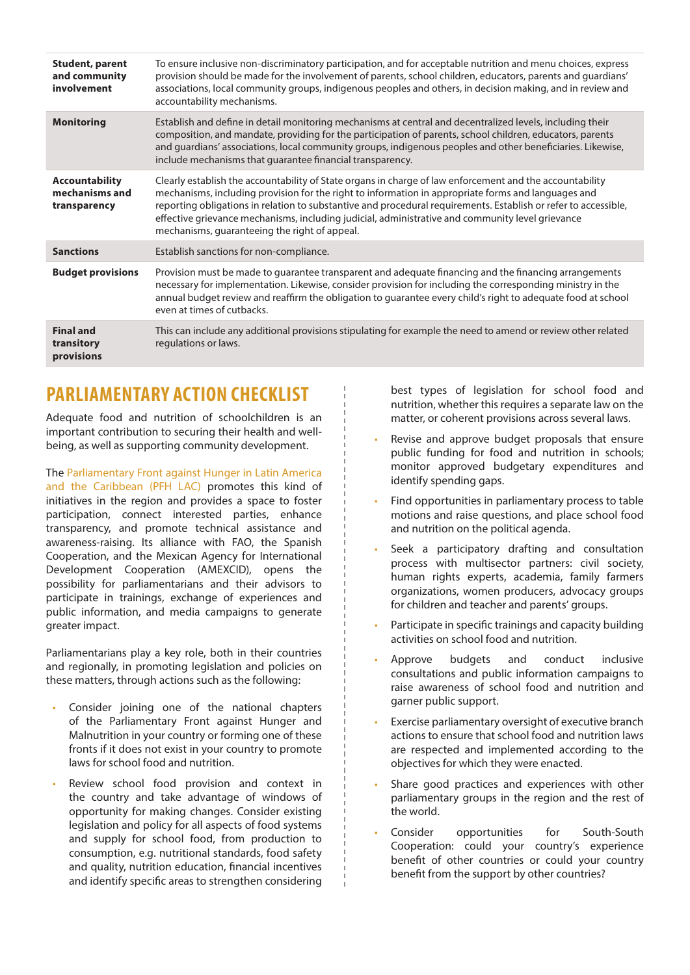| <b>Student, parent</b><br>and community<br>involvement  | To ensure inclusive non-discriminatory participation, and for acceptable nutrition and menu choices, express<br>provision should be made for the involvement of parents, school children, educators, parents and quardians'<br>associations, local community groups, indigenous peoples and others, in decision making, and in review and<br>accountability mechanisms.                                                                                                                 |
|---------------------------------------------------------|-----------------------------------------------------------------------------------------------------------------------------------------------------------------------------------------------------------------------------------------------------------------------------------------------------------------------------------------------------------------------------------------------------------------------------------------------------------------------------------------|
| <b>Monitoring</b>                                       | Establish and define in detail monitoring mechanisms at central and decentralized levels, including their<br>composition, and mandate, providing for the participation of parents, school children, educators, parents<br>and guardians' associations, local community groups, indigenous peoples and other beneficiaries. Likewise,<br>include mechanisms that guarantee financial transparency.                                                                                       |
| <b>Accountability</b><br>mechanisms and<br>transparency | Clearly establish the accountability of State organs in charge of law enforcement and the accountability<br>mechanisms, including provision for the right to information in appropriate forms and languages and<br>reporting obligations in relation to substantive and procedural requirements. Establish or refer to accessible,<br>effective grievance mechanisms, including judicial, administrative and community level grievance<br>mechanisms, guaranteeing the right of appeal. |
| <b>Sanctions</b>                                        | Establish sanctions for non-compliance.                                                                                                                                                                                                                                                                                                                                                                                                                                                 |
| <b>Budget provisions</b>                                | Provision must be made to quarantee transparent and adequate financing and the financing arrangements<br>necessary for implementation. Likewise, consider provision for including the corresponding ministry in the<br>annual budget review and reaffirm the obligation to guarantee every child's right to adequate food at school<br>even at times of cutbacks.                                                                                                                       |
| <b>Final and</b><br>transitory<br>provisions            | This can include any additional provisions stipulating for example the need to amend or review other related<br>regulations or laws.                                                                                                                                                                                                                                                                                                                                                    |

#### **PARLIAMENTARY ACTION CHECKLIST**

Adequate food and nutrition of schoolchildren is an important contribution to securing their health and wellbeing, as well as supporting community development.

The [Parliamentary Front against Hunger in Latin America](http://parlamentarioscontraelhambre.org/)  [and the Caribbean \(PFH LAC\)](http://parlamentarioscontraelhambre.org/) promotes this kind of initiatives in the region and provides a space to foster participation, connect interested parties, enhance transparency, and promote technical assistance and awareness-raising. Its alliance with FAO, the Spanish Cooperation, and the Mexican Agency for International Development Cooperation (AMEXCID), opens the possibility for parliamentarians and their advisors to participate in trainings, exchange of experiences and public information, and media campaigns to generate greater impact.

Parliamentarians play a key role, both in their countries and regionally, in promoting legislation and policies on these matters, through actions such as the following:

- Consider joining one of the national chapters of the Parliamentary Front against Hunger and Malnutrition in your country or forming one of these fronts if it does not exist in your country to promote laws for school food and nutrition.
- Review school food provision and context in the country and take advantage of windows of opportunity for making changes. Consider existing legislation and policy for all aspects of food systems and supply for school food, from production to consumption, e.g. nutritional standards, food safety and quality, nutrition education, financial incentives and identify specific areas to strengthen considering

best types of legislation for school food and nutrition, whether this requires a separate law on the matter, or coherent provisions across several laws.

- Revise and approve budget proposals that ensure public funding for food and nutrition in schools; monitor approved budgetary expenditures and identify spending gaps.
- Find opportunities in parliamentary process to table motions and raise questions, and place school food and nutrition on the political agenda.
- Seek a participatory drafting and consultation process with multisector partners: civil society, human rights experts, academia, family farmers organizations, women producers, advocacy groups for children and teacher and parents' groups.
- Participate in specific trainings and capacity building activities on school food and nutrition.
- Approve budgets and conduct inclusive consultations and public information campaigns to raise awareness of school food and nutrition and garner public support.
- Exercise parliamentary oversight of executive branch actions to ensure that school food and nutrition laws are respected and implemented according to the objectives for which they were enacted.
- Share good practices and experiences with other parliamentary groups in the region and the rest of the world.
- Consider opportunities for South-South Cooperation: could your country's experience benefit of other countries or could your country benefit from the support by other countries?